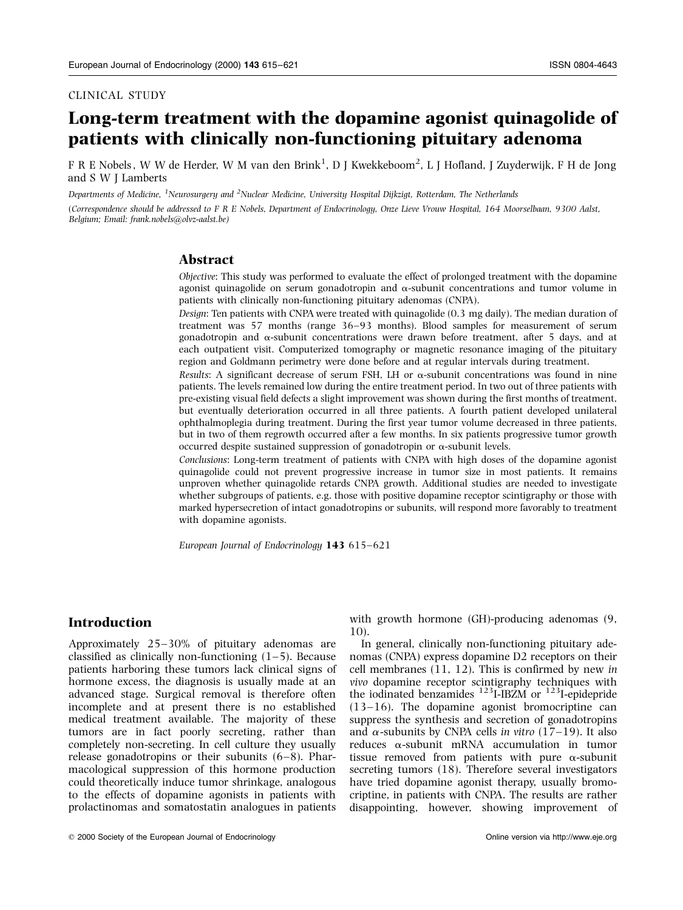#### CLINICAL STUDY

# Long-term treatment with the dopamine agonist quinagolide of patients with clinically non-functioning pituitary adenoma

F R E Nobels, W W de Herder, W M van den Brink $^1$ , D J Kwekkeboom $^2$ , L J Hofland, J Zuyderwijk, F H de Jong and S W J Lamberts

Departments of Medicine, <sup>1</sup>Neurosurgery and <sup>2</sup>Nuclear Medicine, University Hospital Dijkzigt, Rotterdam, The Netherlands

(Correspondence should be addressed to F R E Nobels, Department of Endocrinology, Onze Lieve Vrouw Hospital, 164 Moorselbaan, 9300 Aalst, Belgium; Email: frank.nobels@olvz-aalst.be)

#### Abstract

Objective: This study was performed to evaluate the effect of prolonged treatment with the dopamine agonist quinagolide on serum gonadotropin and  $\alpha$ -subunit concentrations and tumor volume in patients with clinically non-functioning pituitary adenomas (CNPA).

Design: Ten patients with CNPA were treated with quinagolide (0.3 mg daily). The median duration of treatment was 57 months (range 36–93 months). Blood samples for measurement of serum gonadotropin and  $\alpha$ -subunit concentrations were drawn before treatment, after 5 days, and at each outpatient visit. Computerized tomography or magnetic resonance imaging of the pituitary region and Goldmann perimetry were done before and at regular intervals during treatment.

Results: A significant decrease of serum FSH, LH or  $\alpha$ -subunit concentrations was found in nine patients. The levels remained low during the entire treatment period. In two out of three patients with pre-existing visual field defects a slight improvement was shown during the first months of treatment, but eventually deterioration occurred in all three patients. A fourth patient developed unilateral ophthalmoplegia during treatment. During the first year tumor volume decreased in three patients, but in two of them regrowth occurred after a few months. In six patients progressive tumor growth occurred despite sustained suppression of gonadotropin or  $\alpha$ -subunit levels.

Conclusions: Long-term treatment of patients with CNPA with high doses of the dopamine agonist quinagolide could not prevent progressive increase in tumor size in most patients. It remains unproven whether quinagolide retards CNPA growth. Additional studies are needed to investigate whether subgroups of patients, e.g. those with positive dopamine receptor scintigraphy or those with marked hypersecretion of intact gonadotropins or subunits, will respond more favorably to treatment with dopamine agonists.

European Journal of Endocrinology  $143615-621$ 

## Introduction

Approximately 25-30% of pituitary adenomas are classified as clinically non-functioning  $(1-5)$ . Because patients harboring these tumors lack clinical signs of hormone excess, the diagnosis is usually made at an advanced stage. Surgical removal is therefore often incomplete and at present there is no established medical treatment available. The majority of these tumors are in fact poorly secreting, rather than completely non-secreting. In cell culture they usually release gonadotropins or their subunits  $(6-8)$ . Pharmacological suppression of this hormone production could theoretically induce tumor shrinkage, analogous to the effects of dopamine agonists in patients with prolactinomas and somatostatin analogues in patients with growth hormone (GH)-producing adenomas (9, 10).

In general, clinically non-functioning pituitary adenomas (CNPA) express dopamine D2 receptors on their cell membranes (11, 12). This is confirmed by new in vivo dopamine receptor scintigraphy techniques with the iodinated benzamides  $^{123}$ I-IBZM or  $^{123}$ I-epidepride  $(13-16)$ . The dopamine agonist bromocriptine can suppress the synthesis and secretion of gonadotropins and  $\alpha$ -subunits by CNPA cells in vitro (17–19). It also reduces  $\alpha$ -subunit mRNA accumulation in tumor tissue removed from patients with pure  $\alpha$ -subunit secreting tumors (18). Therefore several investigators have tried dopamine agonist therapy, usually bromocriptine, in patients with CNPA. The results are rather disappointing, however, showing improvement of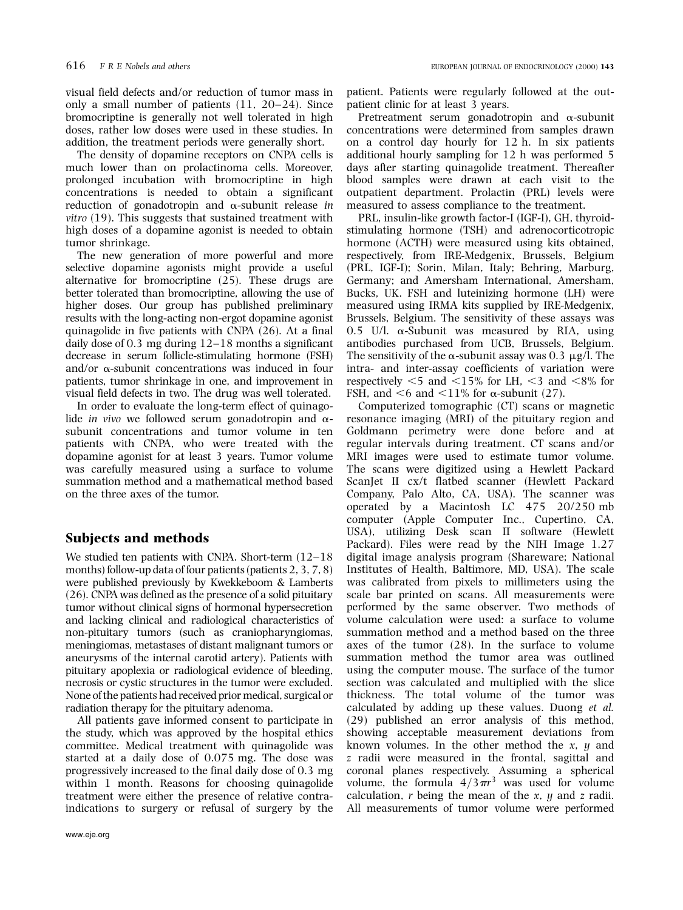visual field defects and/or reduction of tumor mass in only a small number of patients  $(11, 20-24)$ . Since bromocriptine is generally not well tolerated in high doses, rather low doses were used in these studies. In addition, the treatment periods were generally short.

The density of dopamine receptors on CNPA cells is much lower than on prolactinoma cells. Moreover, prolonged incubation with bromocriptine in high concentrations is needed to obtain a significant reduction of gonadotropin and  $\alpha$ -subunit release in vitro (19). This suggests that sustained treatment with high doses of a dopamine agonist is needed to obtain tumor shrinkage.

The new generation of more powerful and more selective dopamine agonists might provide a useful alternative for bromocriptine (25). These drugs are better tolerated than bromocriptine, allowing the use of higher doses. Our group has published preliminary results with the long-acting non-ergot dopamine agonist quinagolide in five patients with CNPA (26). At a final daily dose of  $0.3$  mg during  $12-18$  months a significant decrease in serum follicle-stimulating hormone (FSH) and/or  $\alpha$ -subunit concentrations was induced in four patients, tumor shrinkage in one, and improvement in visual field defects in two. The drug was well tolerated.

In order to evaluate the long-term effect of quinagolide *in vivo* we followed serum gonadotropin and  $\alpha$ subunit concentrations and tumor volume in ten patients with CNPA, who were treated with the dopamine agonist for at least 3 years. Tumor volume was carefully measured using a surface to volume summation method and a mathematical method based on the three axes of the tumor.

# Subjects and methods

We studied ten patients with CNPA. Short-term  $(12-18$ months) follow-up data of four patients (patients 2, 3, 7, 8) were published previously by Kwekkeboom & Lamberts (26). CNPA was defined as the presence of a solid pituitary tumor without clinical signs of hormonal hypersecretion and lacking clinical and radiological characteristics of non-pituitary tumors (such as craniopharyngiomas, meningiomas, metastases of distant malignant tumors or aneurysms of the internal carotid artery). Patients with pituitary apoplexia or radiological evidence of bleeding, necrosis or cystic structures in the tumor were excluded. None of the patients had received prior medical, surgical or radiation therapy for the pituitary adenoma.

All patients gave informed consent to participate in the study, which was approved by the hospital ethics committee. Medical treatment with quinagolide was started at a daily dose of 0.075 mg. The dose was progressively increased to the final daily dose of 0.3 mg within 1 month. Reasons for choosing quinagolide treatment were either the presence of relative contraindications to surgery or refusal of surgery by the

patient. Patients were regularly followed at the outpatient clinic for at least 3 years.

Pretreatment serum gonadotropin and  $\alpha$ -subunit concentrations were determined from samples drawn on a control day hourly for 12 h. In six patients additional hourly sampling for 12 h was performed 5 days after starting quinagolide treatment. Thereafter blood samples were drawn at each visit to the outpatient department. Prolactin (PRL) levels were measured to assess compliance to the treatment.

PRL, insulin-like growth factor-I (IGF-I), GH, thyroidstimulating hormone (TSH) and adrenocorticotropic hormone (ACTH) were measured using kits obtained, respectively, from IRE-Medgenix, Brussels, Belgium (PRL, IGF-I); Sorin, Milan, Italy; Behring, Marburg, Germany; and Amersham International, Amersham, Bucks, UK. FSH and luteinizing hormone (LH) were measured using IRMA kits supplied by IRE-Medgenix, Brussels, Belgium. The sensitivity of these assays was 0.5 U/l.  $\alpha$ -Subunit was measured by RIA, using antibodies purchased from UCB, Brussels, Belgium. The sensitivity of the  $\alpha$ -subunit assay was 0.3 µg/l. The intra- and inter-assay coefficients of variation were respectively  $\leq$  5 and  $\leq$ 15% for LH,  $\leq$ 3 and  $\leq$ 8% for FSH, and  $\leq 6$  and  $\leq 11\%$  for  $\alpha$ -subunit (27).

Computerized tomographic (CT) scans or magnetic resonance imaging (MRI) of the pituitary region and Goldmann perimetry were done before and at regular intervals during treatment. CT scans and/or MRI images were used to estimate tumor volume. The scans were digitized using a Hewlett Packard ScanJet II cx/t flatbed scanner (Hewlett Packard Company, Palo Alto, CA, USA). The scanner was operated by a Macintosh LC 475 20/250 mb computer (Apple Computer Inc., Cupertino, CA, USA), utilizing Desk scan II software (Hewlett Packard). Files were read by the NIH Image 1.27 digital image analysis program (Shareware; National Institutes of Health, Baltimore, MD, USA). The scale was calibrated from pixels to millimeters using the scale bar printed on scans. All measurements were performed by the same observer. Two methods of volume calculation were used: a surface to volume summation method and a method based on the three axes of the tumor (28). In the surface to volume summation method the tumor area was outlined using the computer mouse. The surface of the tumor section was calculated and multiplied with the slice thickness. The total volume of the tumor was calculated by adding up these values. Duong et al. (29) published an error analysis of this method, showing acceptable measurement deviations from known volumes. In the other method the  $x$ ,  $y$  and z radii were measured in the frontal, sagittal and coronal planes respectively. Assuming a spherical volume, the formula  $4/3\pi r^3$  was used for volume calculation,  $r$  being the mean of the  $x$ ,  $y$  and  $z$  radii. All measurements of tumor volume were performed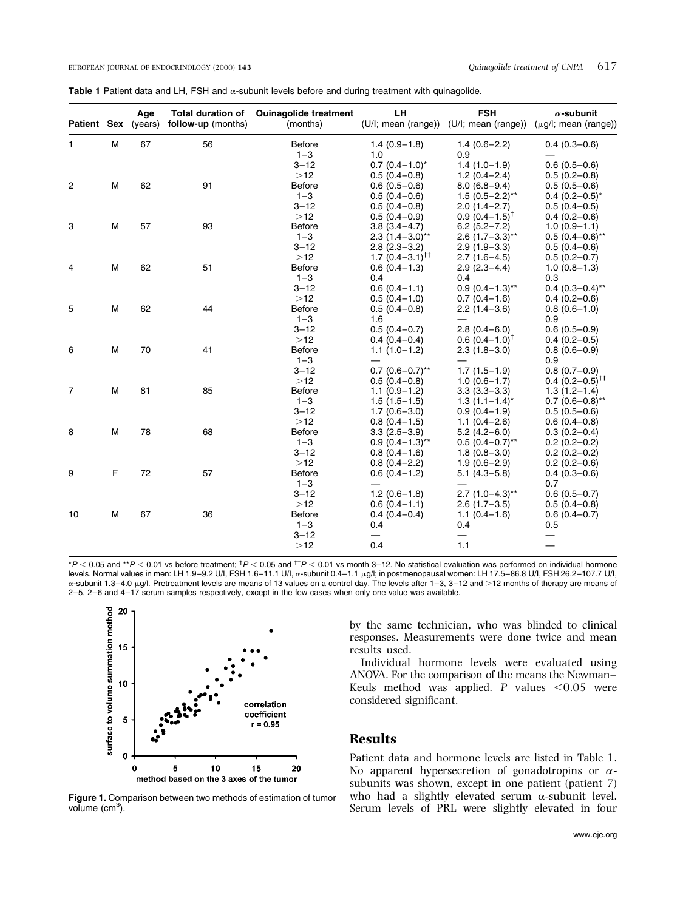| Table 1 Patient data and LH, FSH and $\alpha$ -subunit levels before and during treatment with quinagolide. |  |
|-------------------------------------------------------------------------------------------------------------|--|
|-------------------------------------------------------------------------------------------------------------|--|

| Patient Sex (years) |   | Age | <b>Total duration of</b><br>follow-up (months) | <b>Quinagolide treatment</b><br>(months) | LH.                          | <b>FSH</b><br>(U/I; mean (range)) (U/I; mean (range)) | $\alpha$ -subunit<br>$(\mu g/I; \text{mean (range)})$ |
|---------------------|---|-----|------------------------------------------------|------------------------------------------|------------------------------|-------------------------------------------------------|-------------------------------------------------------|
| $\mathbf{1}$        | M | 67  | 56                                             | <b>Before</b>                            | $1.4(0.9-1.8)$               | $1.4(0.6-2.2)$                                        | $0.4(0.3-0.6)$                                        |
|                     |   |     |                                                | $1 - 3$                                  | 1.0                          | 0.9                                                   |                                                       |
|                     |   |     |                                                | $3 - 12$                                 | $0.7(0.4-1.0)^{*}$           | $1.4(1.0-1.9)$                                        | $0.6(0.5-0.6)$                                        |
|                     |   |     |                                                | $>12$                                    | $0.5(0.4-0.8)$               | $1.2(0.4-2.4)$                                        | $0.5(0.2-0.8)$                                        |
| $\overline{c}$      | M | 62  | 91                                             | <b>Before</b>                            | $0.6(0.5-0.6)$               | $8.0(6.8-9.4)$                                        | $0.5(0.5-0.6)$                                        |
|                     |   |     |                                                | $1 - 3$                                  | $0.5(0.4-0.6)$               | $1.5(0.5-2.2)$ **                                     | $0.4(0.2-0.5)^{*}$                                    |
|                     |   |     |                                                | $3 - 12$                                 | $0.5(0.4-0.8)$               | $2.0(1.4-2.7)$                                        | $0.5(0.4-0.5)$                                        |
|                     |   |     |                                                | $>12$                                    | $0.5(0.4-0.9)$               | $0.9(0.4-1.5)^{\dagger}$                              | $0.4(0.2-0.6)$                                        |
| 3                   | M | 57  | 93                                             | <b>Before</b>                            | $3.8(3.4 - 4.7)$             | $6.2(5.2 - 7.2)$                                      | $1.0(0.9-1.1)$                                        |
|                     |   |     |                                                | $1 - 3$                                  | $2.3(1.4-3.0)$ **            | $2.6$ (1.7-3.3)**                                     | $0.5(0.4-0.6)$ **                                     |
|                     |   |     |                                                | $3 - 12$                                 | $2.8(2.3 - 3.2)$             | $2.9(1.9 - 3.3)$                                      | $0.5(0.4-0.6)$                                        |
|                     |   |     |                                                | $>12$                                    | $1.7(0.4-3.1)$ <sup>††</sup> | $2.7(1.6-4.5)$                                        | $0.5(0.2 - 0.7)$                                      |
| 4                   | М | 62  | 51                                             | <b>Before</b>                            | $0.6(0.4-1.3)$               | $2.9(2.3-4.4)$                                        | $1.0(0.8-1.3)$                                        |
|                     |   |     |                                                | $1 - 3$                                  | 0.4                          | 0.4                                                   | 0.3                                                   |
|                     |   |     |                                                | $3 - 12$                                 | $0.6(0.4-1.1)$               | $0.9(0.4-1.3)$ **                                     | $0.4(0.3-0.4)$ **                                     |
|                     |   |     |                                                | $>12$                                    | $0.5(0.4-1.0)$               | $0.7(0.4-1.6)$                                        | $0.4(0.2-0.6)$                                        |
| 5                   | M | 62  | 44                                             | <b>Before</b>                            | $0.5(0.4-0.8)$               | $2.2(1.4-3.6)$                                        | $0.8(0.6-1.0)$                                        |
|                     |   |     |                                                | $1 - 3$                                  | 1.6                          |                                                       | 0.9                                                   |
|                     |   |     |                                                | $3 - 12$                                 | $0.5(0.4-0.7)$               | $2.8(0.4 - 6.0)$                                      | $0.6(0.5-0.9)$                                        |
|                     |   |     |                                                | >12                                      | $0.4(0.4-0.4)$               | $0.6(0.4-1.0)^{\dagger}$                              | $0.4(0.2-0.5)$                                        |
| 6                   | M | 70  | 41                                             | <b>Before</b>                            | $1.1(1.0-1.2)$               | $2.3(1.8-3.0)$                                        | $0.8(0.6-0.9)$                                        |
|                     |   |     |                                                | $1 - 3$                                  |                              |                                                       | 0.9                                                   |
|                     |   |     |                                                | $3 - 12$                                 | $0.7(0.6-0.7)$ **            | $1.7(1.5-1.9)$                                        | $0.8(0.7-0.9)$                                        |
|                     |   |     |                                                | $>12$                                    | $0.5(0.4-0.8)$               | $1.0(0.6-1.7)$                                        | $0.4$ $(0.2 - 0.5)^{T}$                               |
| 7                   | M | 81  | 85                                             | <b>Before</b>                            | $1.1(0.9-1.2)$               | $3.3(3.3 - 3.3)$                                      | $1.3(1.2 - 1.4)$                                      |
|                     |   |     |                                                | $1 - 3$                                  | $1.5(1.5-1.5)$               | $1.3(1.1-1.4)^{*}$                                    | $0.7(0.6-0.8)$ **                                     |
|                     |   |     |                                                | $3 - 12$                                 | $1.7(0.6 - 3.0)$             | $0.9(0.4-1.9)$                                        | $0.5(0.5-0.6)$                                        |
|                     |   |     |                                                | $>12$                                    | $0.8(0.4-1.5)$               | $1.1(0.4 - 2.6)$                                      | $0.6(0.4-0.8)$                                        |
| 8                   | M | 78  | 68                                             | Before                                   | $3.3(2.5 - 3.9)$             | $5.2(4.2 - 6.0)$                                      | $0.3(0.2 - 0.4)$                                      |
|                     |   |     |                                                | $1 - 3$                                  | $0.9(0.4-1.3)$ **            | $0.5(0.4-0.7)$ <sup>**</sup>                          | $0.2(0.2-0.2)$                                        |
|                     |   |     |                                                | $3 - 12$                                 | $0.8(0.4-1.6)$               | $1.8(0.8 - 3.0)$                                      | $0.2(0.2-0.2)$                                        |
|                     |   |     |                                                | $>12$                                    | $0.8(0.4 - 2.2)$             | $1.9(0.6 - 2.9)$                                      | $0.2(0.2-0.6)$                                        |
| 9                   | F | 72  | 57                                             | <b>Before</b>                            | $0.6(0.4-1.2)$               | $5.1(4.3 - 5.8)$                                      | $0.4(0.3-0.6)$                                        |
|                     |   |     |                                                | $1 - 3$                                  |                              |                                                       | 0.7                                                   |
|                     |   |     |                                                | $3 - 12$                                 | $1.2(0.6-1.8)$               | $2.7(1.0-4.3)$ **                                     | $0.6(0.5-0.7)$                                        |
|                     |   |     |                                                | $>12$                                    | $0.6(0.4-1.1)$               | $2.6(1.7-3.5)$                                        | $0.5(0.4-0.8)$                                        |
| 10                  | M | 67  | 36                                             | <b>Before</b>                            | $0.4(0.4-0.4)$               | $1.1(0.4-1.6)$                                        | $0.6(0.4-0.7)$                                        |
|                     |   |     |                                                | $1 - 3$                                  | 0.4                          | 0.4                                                   | 0.5                                                   |
|                     |   |     |                                                | $3 - 12$                                 |                              |                                                       |                                                       |
|                     |   |     |                                                | $>12$                                    | 0.4                          | 1.1                                                   | $\overline{\phantom{0}}$                              |

\**P* < 0.05 and \*\**P* < 0.01 vs before treatment; <sup>†</sup>*P* < 0.05 and <sup>††</sup>*P* < 0.01 vs month 3–12. No statistical evaluation was performed on individual hormone<br>levels. Normal values in men: LH 1.9–9.2 U/I, FSH 1.6–11.1 U/ α-subunit 1.3–4.0 μg/l. Pretreatment levels are means of 13 values on a control day. The levels after 1–3, 3–12 and >12 months of therapy are means of 2-5, 2-6 and 4-17 serum samples respectively, except in the few cases when only one value was available.



Figure 1. Comparison between two methods of estimation of tumor volume (cm<sup>3</sup>).

by the same technician, who was blinded to clinical responses. Measurements were done twice and mean results used.

Individual hormone levels were evaluated using ANOVA. For the comparison of the means the Newman-Keuls method was applied. P values  $\leq 0.05$  were considered significant.

## Results

Patient data and hormone levels are listed in Table 1. No apparent hypersecretion of gonadotropins or  $\alpha$ subunits was shown, except in one patient (patient 7) who had a slightly elevated serum  $\alpha$ -subunit level. Serum levels of PRL were slightly elevated in four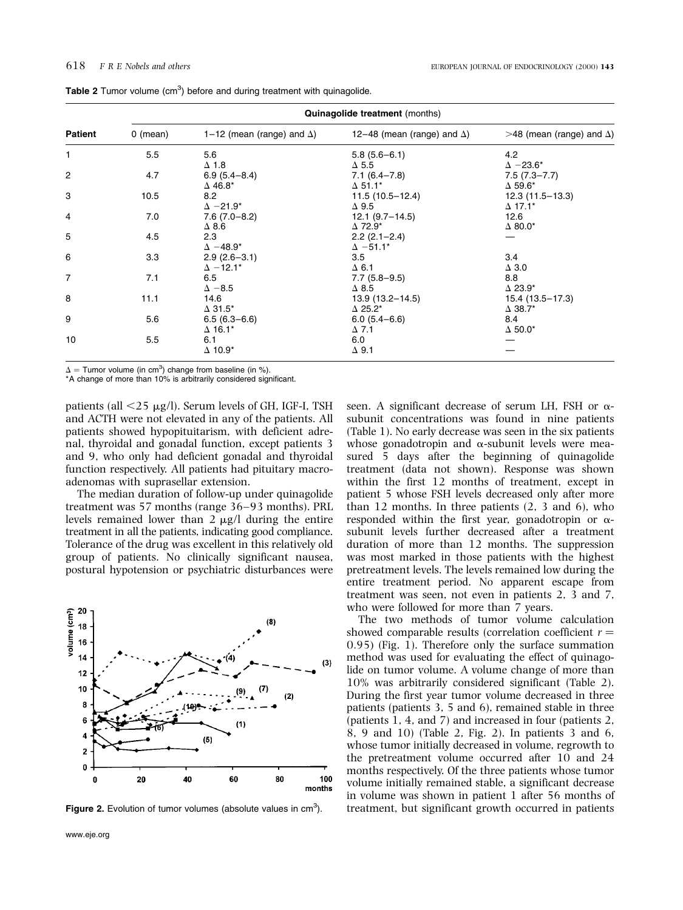| <b>Quinagolide treatment</b> (months) |                                                |                                                                                                                                                                                                                                      |                                                                                                                                                                                                                                                                               |  |  |  |
|---------------------------------------|------------------------------------------------|--------------------------------------------------------------------------------------------------------------------------------------------------------------------------------------------------------------------------------------|-------------------------------------------------------------------------------------------------------------------------------------------------------------------------------------------------------------------------------------------------------------------------------|--|--|--|
| 0 (mean)                              | 1–12 (mean (range) and $\Delta$ )              | 12-48 (mean (range) and $\Delta$ )                                                                                                                                                                                                   | $>48$ (mean (range) and $\Delta$ )                                                                                                                                                                                                                                            |  |  |  |
| 5.5                                   | 5.6                                            | $5.8(5.6-6.1)$                                                                                                                                                                                                                       | 4.2                                                                                                                                                                                                                                                                           |  |  |  |
|                                       | $\Delta$ 1.8                                   | $\Delta$ 5.5                                                                                                                                                                                                                         | $\Delta -23.6^*$                                                                                                                                                                                                                                                              |  |  |  |
| 4.7                                   | $6.9(5.4 - 8.4)$                               | $7.1(6.4 - 7.8)$                                                                                                                                                                                                                     | $7.5(7.3 - 7.7)$                                                                                                                                                                                                                                                              |  |  |  |
|                                       | $\Delta$ 46.8*                                 | $\Delta$ 51.1*                                                                                                                                                                                                                       | $\Delta$ 59.6*                                                                                                                                                                                                                                                                |  |  |  |
| 10.5                                  | 8.2                                            |                                                                                                                                                                                                                                      | $12.3(11.5-13.3)$                                                                                                                                                                                                                                                             |  |  |  |
|                                       |                                                |                                                                                                                                                                                                                                      | $\Delta$ 17.1*                                                                                                                                                                                                                                                                |  |  |  |
|                                       |                                                |                                                                                                                                                                                                                                      | 12.6                                                                                                                                                                                                                                                                          |  |  |  |
|                                       |                                                |                                                                                                                                                                                                                                      | $\Delta$ 80.0*                                                                                                                                                                                                                                                                |  |  |  |
|                                       |                                                |                                                                                                                                                                                                                                      |                                                                                                                                                                                                                                                                               |  |  |  |
|                                       |                                                |                                                                                                                                                                                                                                      |                                                                                                                                                                                                                                                                               |  |  |  |
|                                       |                                                |                                                                                                                                                                                                                                      | 3.4                                                                                                                                                                                                                                                                           |  |  |  |
|                                       |                                                |                                                                                                                                                                                                                                      | $\Delta$ 3.0                                                                                                                                                                                                                                                                  |  |  |  |
|                                       |                                                |                                                                                                                                                                                                                                      | 8.8                                                                                                                                                                                                                                                                           |  |  |  |
|                                       |                                                |                                                                                                                                                                                                                                      | $\Delta$ 23.9*                                                                                                                                                                                                                                                                |  |  |  |
|                                       |                                                |                                                                                                                                                                                                                                      | 15.4 (13.5-17.3)                                                                                                                                                                                                                                                              |  |  |  |
|                                       |                                                |                                                                                                                                                                                                                                      | $\Delta$ 38.7*                                                                                                                                                                                                                                                                |  |  |  |
|                                       |                                                |                                                                                                                                                                                                                                      | 8.4                                                                                                                                                                                                                                                                           |  |  |  |
|                                       |                                                |                                                                                                                                                                                                                                      | $\Delta$ 50.0*                                                                                                                                                                                                                                                                |  |  |  |
|                                       |                                                |                                                                                                                                                                                                                                      |                                                                                                                                                                                                                                                                               |  |  |  |
|                                       |                                                |                                                                                                                                                                                                                                      |                                                                                                                                                                                                                                                                               |  |  |  |
|                                       | 7.0<br>4.5<br>3.3<br>7.1<br>11.1<br>5.6<br>5.5 | $\Delta -21.9^*$<br>$7.6(7.0-8.2)$<br>$\Delta$ 8.6<br>2.3<br>$\Delta - 48.9^*$<br>$2.9(2.6 - 3.1)$<br>$\Delta$ -12.1*<br>6.5<br>$\Delta -8.5$<br>14.6<br>$\Delta$ 31.5*<br>$6.5(6.3-6.6)$<br>$\Delta$ 16.1*<br>6.1<br>$\Delta$ 10.9* | $11.5(10.5-12.4)$<br>$\Delta$ 9.5<br>$12.1 (9.7 - 14.5)$<br>$\Delta$ 72.9*<br>$2.2$ (2.1-2.4)<br>$\Delta$ -51.1*<br>3.5<br>$\Delta$ 6.1<br>$7.7(5.8-9.5)$<br>$\Delta$ 8.5<br>$13.9(13.2 - 14.5)$<br>$\Delta$ 25.2*<br>$6.0(5.4 - 6.6)$<br>$\Delta$ 7.1<br>6.0<br>$\Delta$ 9.1 |  |  |  |

Table 2 Tumor volume  $(cm<sup>3</sup>)$  before and during treatment with quinagolide.

 $\Delta$  = Tumor volume (in cm<sup>3</sup>) change from baseline (in %).

\*A change of more than 10% is arbitrarily considered significant.

patients (all  $\langle 25 \mu g/l \rangle$ ). Serum levels of GH, IGF-I, TSH and ACTH were not elevated in any of the patients. All patients showed hypopituitarism, with deficient adrenal, thyroidal and gonadal function, except patients 3 and 9, who only had deficient gonadal and thyroidal function respectively. All patients had pituitary macroadenomas with suprasellar extension.

The median duration of follow-up under quinagolide treatment was 57 months (range 36–93 months). PRL levels remained lower than  $2 \mu g/l$  during the entire treatment in all the patients, indicating good compliance. Tolerance of the drug was excellent in this relatively old group of patients. No clinically significant nausea, postural hypotension or psychiatric disturbances were



seen. A significant decrease of serum LH, FSH or  $\alpha$ subunit concentrations was found in nine patients (Table 1). No early decrease was seen in the six patients whose gonadotropin and  $\alpha$ -subunit levels were measured 5 days after the beginning of quinagolide treatment (data not shown). Response was shown within the first 12 months of treatment, except in patient 5 whose FSH levels decreased only after more than 12 months. In three patients (2, 3 and 6), who responded within the first year, gonadotropin or  $\alpha$ subunit levels further decreased after a treatment duration of more than 12 months. The suppression was most marked in those patients with the highest pretreatment levels. The levels remained low during the entire treatment period. No apparent escape from treatment was seen, not even in patients 2, 3 and 7, who were followed for more than 7 years.

The two methods of tumor volume calculation showed comparable results (correlation coefficient  $r =$ 0:95 (Fig. 1). Therefore only the surface summation method was used for evaluating the effect of quinagolide on tumor volume. A volume change of more than 10% was arbitrarily considered significant (Table 2). During the first year tumor volume decreased in three patients (patients 3, 5 and 6), remained stable in three (patients 1, 4, and 7) and increased in four (patients 2, 8, 9 and 10) (Table 2, Fig. 2). In patients 3 and 6, whose tumor initially decreased in volume, regrowth to the pretreatment volume occurred after 10 and 24 months respectively. Of the three patients whose tumor volume initially remained stable, a significant decrease in volume was shown in patient 1 after 56 months of Figure 2. Evolution of tumor volumes (absolute values in  $cm^3$ ). treatment, but significant growth occurred in patients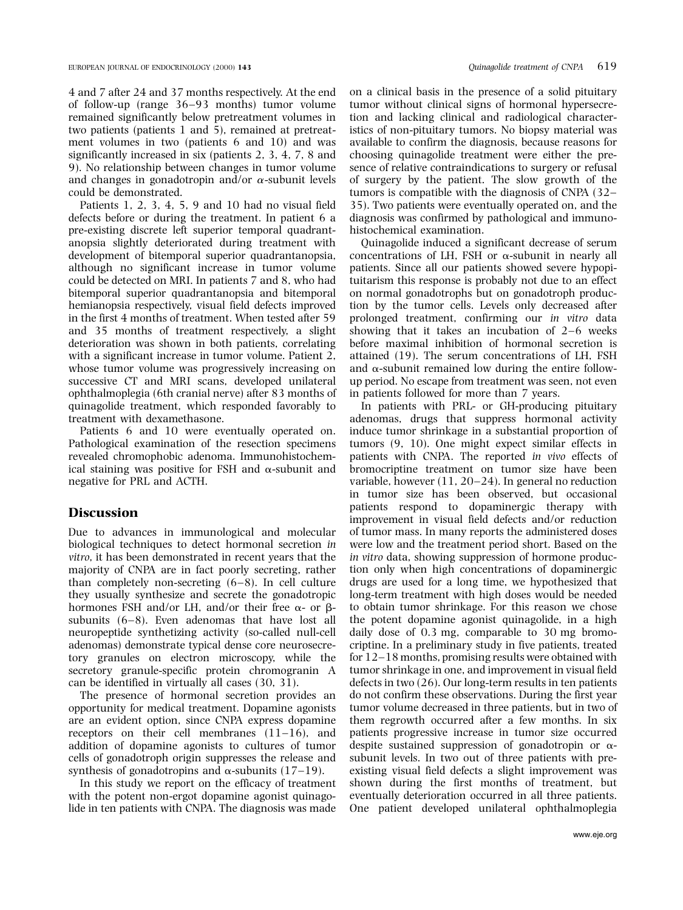4 and 7 after 24 and 37 months respectively. At the end of follow-up (range  $36-93$  months) tumor volume remained significantly below pretreatment volumes in two patients (patients 1 and 5), remained at pretreatment volumes in two (patients 6 and 10) and was significantly increased in six (patients 2, 3, 4, 7, 8 and 9). No relationship between changes in tumor volume and changes in gonadotropin and/or  $\alpha$ -subunit levels could be demonstrated.

Patients 1, 2, 3, 4, 5, 9 and 10 had no visual field defects before or during the treatment. In patient 6 a pre-existing discrete left superior temporal quadrantanopsia slightly deteriorated during treatment with development of bitemporal superior quadrantanopsia, although no significant increase in tumor volume could be detected on MRI. In patients 7 and 8, who had bitemporal superior quadrantanopsia and bitemporal hemianopsia respectively, visual field defects improved in the first 4 months of treatment. When tested after 59 and 35 months of treatment respectively, a slight deterioration was shown in both patients, correlating with a significant increase in tumor volume. Patient 2, whose tumor volume was progressively increasing on successive CT and MRI scans, developed unilateral ophthalmoplegia (6th cranial nerve) after 83 months of quinagolide treatment, which responded favorably to treatment with dexamethasone.

Patients 6 and 10 were eventually operated on. Pathological examination of the resection specimens revealed chromophobic adenoma. Immunohistochemical staining was positive for FSH and  $\alpha$ -subunit and negative for PRL and ACTH.

# **Discussion**

Due to advances in immunological and molecular biological techniques to detect hormonal secretion in vitro, it has been demonstrated in recent years that the majority of CNPA are in fact poorly secreting, rather than completely non-secreting  $(6-8)$ . In cell culture they usually synthesize and secrete the gonadotropic hormones FSH and/or LH, and/or their free  $\alpha$ - or  $\beta$ subunits  $(6-8)$ . Even adenomas that have lost all neuropeptide synthetizing activity (so-called null-cell adenomas) demonstrate typical dense core neurosecretory granules on electron microscopy, while the secretory granule-specific protein chromogranin A can be identified in virtually all cases (30, 31).

The presence of hormonal secretion provides an opportunity for medical treatment. Dopamine agonists are an evident option, since CNPA express dopamine receptors on their cell membranes  $(11-16)$ , and addition of dopamine agonists to cultures of tumor cells of gonadotroph origin suppresses the release and synthesis of gonadotropins and  $\alpha$ -subunits (17–19).

In this study we report on the efficacy of treatment with the potent non-ergot dopamine agonist quinagolide in ten patients with CNPA. The diagnosis was made

on a clinical basis in the presence of a solid pituitary tumor without clinical signs of hormonal hypersecretion and lacking clinical and radiological characteristics of non-pituitary tumors. No biopsy material was available to confirm the diagnosis, because reasons for choosing quinagolide treatment were either the presence of relative contraindications to surgery or refusal of surgery by the patient. The slow growth of the tumors is compatible with the diagnosis of CNPA  $(32-$ 35). Two patients were eventually operated on, and the diagnosis was confirmed by pathological and immunohistochemical examination.

Quinagolide induced a significant decrease of serum concentrations of LH, FSH or  $\alpha$ -subunit in nearly all patients. Since all our patients showed severe hypopituitarism this response is probably not due to an effect on normal gonadotrophs but on gonadotroph production by the tumor cells. Levels only decreased after prolonged treatment, confirming our in vitro data showing that it takes an incubation of  $2-6$  weeks before maximal inhibition of hormonal secretion is attained (19). The serum concentrations of LH, FSH and  $\alpha$ -subunit remained low during the entire followup period. No escape from treatment was seen, not even in patients followed for more than 7 years.

In patients with PRL- or GH-producing pituitary adenomas, drugs that suppress hormonal activity induce tumor shrinkage in a substantial proportion of tumors (9, 10). One might expect similar effects in patients with CNPA. The reported in vivo effects of bromocriptine treatment on tumor size have been variable, however  $(11, 20-24)$ . In general no reduction in tumor size has been observed, but occasional patients respond to dopaminergic therapy with improvement in visual field defects and/or reduction of tumor mass. In many reports the administered doses were low and the treatment period short. Based on the in vitro data, showing suppression of hormone production only when high concentrations of dopaminergic drugs are used for a long time, we hypothesized that long-term treatment with high doses would be needed to obtain tumor shrinkage. For this reason we chose the potent dopamine agonist quinagolide, in a high daily dose of 0.3 mg, comparable to 30 mg bromocriptine. In a preliminary study in five patients, treated for  $12-18$  months, promising results were obtained with tumor shrinkage in one, and improvement in visual field defects in two (26). Our long-term results in ten patients do not confirm these observations. During the first year tumor volume decreased in three patients, but in two of them regrowth occurred after a few months. In six patients progressive increase in tumor size occurred despite sustained suppression of gonadotropin or  $\alpha$ subunit levels. In two out of three patients with preexisting visual field defects a slight improvement was shown during the first months of treatment, but eventually deterioration occurred in all three patients. One patient developed unilateral ophthalmoplegia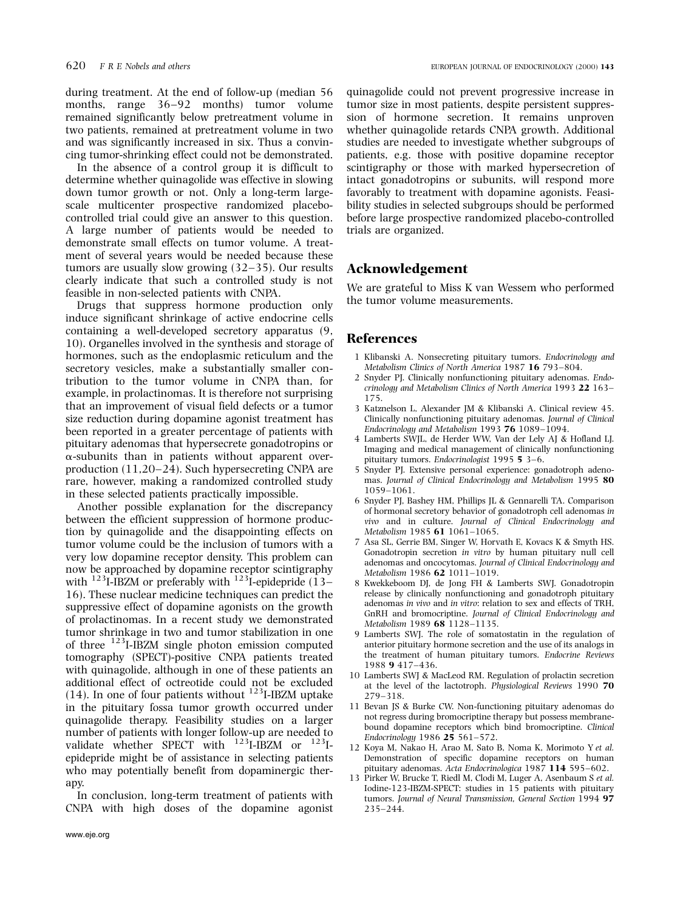during treatment. At the end of follow-up (median 56 months, range  $36-92$  months) tumor volume remained significantly below pretreatment volume in two patients, remained at pretreatment volume in two and was significantly increased in six. Thus a convincing tumor-shrinking effect could not be demonstrated.

In the absence of a control group it is difficult to determine whether quinagolide was effective in slowing down tumor growth or not. Only a long-term largescale multicenter prospective randomized placebocontrolled trial could give an answer to this question. A large number of patients would be needed to demonstrate small effects on tumor volume. A treatment of several years would be needed because these tumors are usually slow growing  $(32-35)$ . Our results clearly indicate that such a controlled study is not feasible in non-selected patients with CNPA.

Drugs that suppress hormone production only induce significant shrinkage of active endocrine cells containing a well-developed secretory apparatus (9, 10). Organelles involved in the synthesis and storage of hormones, such as the endoplasmic reticulum and the secretory vesicles, make a substantially smaller contribution to the tumor volume in CNPA than, for example, in prolactinomas. It is therefore not surprising that an improvement of visual field defects or a tumor size reduction during dopamine agonist treatment has been reported in a greater percentage of patients with pituitary adenomas that hypersecrete gonadotropins or  $\alpha$ -subunits than in patients without apparent overproduction  $(11,20-24)$ . Such hypersecreting CNPA are rare, however, making a randomized controlled study in these selected patients practically impossible.

Another possible explanation for the discrepancy between the efficient suppression of hormone production by quinagolide and the disappointing effects on tumor volume could be the inclusion of tumors with a very low dopamine receptor density. This problem can now be approached by dopamine receptor scintigraphy with  $^{123}$ I-IBZM or preferably with  $^{123}$ I-epidepride (13-16). These nuclear medicine techniques can predict the suppressive effect of dopamine agonists on the growth of prolactinomas. In a recent study we demonstrated tumor shrinkage in two and tumor stabilization in one of three  $^{123}$ I-IBZM single photon emission computed tomography (SPECT)-positive CNPA patients treated with quinagolide, although in one of these patients an additional effect of octreotide could not be excluded (14). In one of four patients without  $123$ I-IBZM uptake in the pituitary fossa tumor growth occurred under quinagolide therapy. Feasibility studies on a larger number of patients with longer follow-up are needed to validate whether SPECT with <sup>123</sup>I-IBZM or <sup>123</sup>Iepidepride might be of assistance in selecting patients who may potentially benefit from dopaminergic therapy.

In conclusion, long-term treatment of patients with CNPA with high doses of the dopamine agonist quinagolide could not prevent progressive increase in tumor size in most patients, despite persistent suppression of hormone secretion. It remains unproven whether quinagolide retards CNPA growth. Additional studies are needed to investigate whether subgroups of patients, e.g. those with positive dopamine receptor scintigraphy or those with marked hypersecretion of intact gonadotropins or subunits, will respond more favorably to treatment with dopamine agonists. Feasibility studies in selected subgroups should be performed before large prospective randomized placebo-controlled trials are organized.

## Acknowledgement

We are grateful to Miss K van Wessem who performed the tumor volume measurements.

#### **References**

- 1 Klibanski A. Nonsecreting pituitary tumors. Endocrinology and Metabolism Clinics of North America 1987 16 793-804.
- 2 Snyder PJ. Clinically nonfunctioning pituitary adenomas. Endocrinology and Metabolism Clinics of North America 1993 22 163-175.
- 3 Katznelson L, Alexander JM & Klibanski A. Clinical review 45. Clinically nonfunctioning pituitary adenomas. Journal of Clinical Endocrinology and Metabolism 1993 76 1089-1094.
- 4 Lamberts SWJL, de Herder WW, Van der Lely AJ & Hofland LJ. Imaging and medical management of clinically nonfunctioning pituitary tumors. Endocrinologist 1995 5 3-6.
- 5 Snyder PJ. Extensive personal experience: gonadotroph adenomas. Journal of Clinical Endocrinology and Metabolism 1995 80 1059±1061.
- 6 Snyder PJ, Bashey HM, Phillips JL & Gennarelli TA. Comparison of hormonal secretory behavior of gonadotroph cell adenomas in vivo and in culture. Journal of Clinical Endocrinology and Metabolism 1985 61 1061-1065.
- 7 Asa SL, Gerrie BM, Singer W, Horvath E, Kovacs K & Smyth HS. Gonadotropin secretion in vitro by human pituitary null cell adenomas and oncocytomas. Journal of Clinical Endocrinology and Metabolism 1986 62 1011-1019.
- 8 Kwekkeboom DJ, de Jong FH & Lamberts SWJ. Gonadotropin release by clinically nonfunctioning and gonadotroph pituitary adenomas in vivo and in vitro: relation to sex and effects of TRH, GnRH and bromocriptine. Journal of Clinical Endocrinology and Metabolism 1989 68 1128-1135.
- 9 Lamberts SWJ. The role of somatostatin in the regulation of anterior pituitary hormone secretion and the use of its analogs in the treatment of human pituitary tumors. Endocrine Reviews 1988 9 417-436.
- 10 Lamberts SWJ & MacLeod RM. Regulation of prolactin secretion at the level of the lactotroph. Physiological Reviews 1990 70 279±318.
- 11 Bevan JS & Burke CW. Non-functioning pituitary adenomas do not regress during bromocriptine therapy but possess membranebound dopamine receptors which bind bromocriptine. Clinical Endocrinology 1986  $25 561 - 572$ .
- 12 Koya M, Nakao H, Arao M, Sato B, Noma K, Morimoto Y et al. Demonstration of specific dopamine receptors on human pituitary adenomas. Acta Endocrinologica 1987  $114$  595-602.
- 13 Pirker W, Brucke T, Riedl M, Clodi M, Luger A, Asenbaum S et al. Iodine-123-IBZM-SPECT: studies in 15 patients with pituitary tumors. Journal of Neural Transmission, General Section 1994 97 235±244.